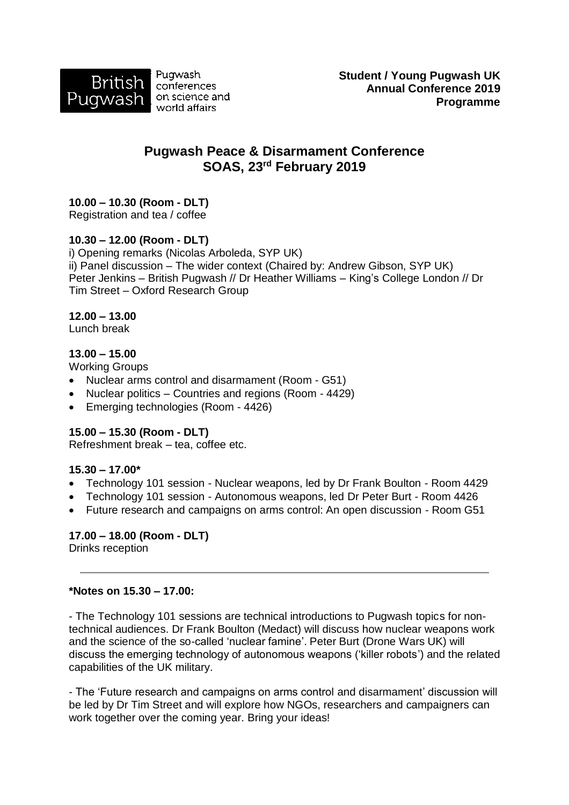

Pugwash conferences on science and world affairs

# **Pugwash Peace & Disarmament Conference SOAS, 23rd February 2019**

## **10.00 – 10.30 (Room - DLT)**

Registration and tea / coffee

## **10.30 – 12.00 (Room - DLT)**

i) Opening remarks (Nicolas Arboleda, SYP UK) ii) Panel discussion – The wider context (Chaired by: Andrew Gibson, SYP UK) Peter Jenkins – British Pugwash // Dr Heather Williams – King's College London // Dr Tim Street – Oxford Research Group

#### **12.00 – 13.00**

Lunch break

## **13.00 – 15.00**

Working Groups

- Nuclear arms control and disarmament (Room G51)
- Nuclear politics Countries and regions (Room 4429)
- Emerging technologies (Room 4426)

## **15.00 – 15.30 (Room - DLT)**

Refreshment break – tea, coffee etc.

## **15.30 – 17.00\***

- Technology 101 session Nuclear weapons, led by Dr Frank Boulton Room 4429
- Technology 101 session Autonomous weapons, led Dr Peter Burt Room 4426
- Future research and campaigns on arms control: An open discussion Room G51

## **17.00 – 18.00 (Room - DLT)**

Drinks reception

#### **\*Notes on 15.30 – 17.00:**

- The Technology 101 sessions are technical introductions to Pugwash topics for nontechnical audiences. Dr Frank Boulton (Medact) will discuss how nuclear weapons work and the science of the so-called 'nuclear famine'. Peter Burt (Drone Wars UK) will discuss the emerging technology of autonomous weapons ('killer robots') and the related capabilities of the UK military.

- The 'Future research and campaigns on arms control and disarmament' discussion will be led by Dr Tim Street and will explore how NGOs, researchers and campaigners can work together over the coming year. Bring your ideas!